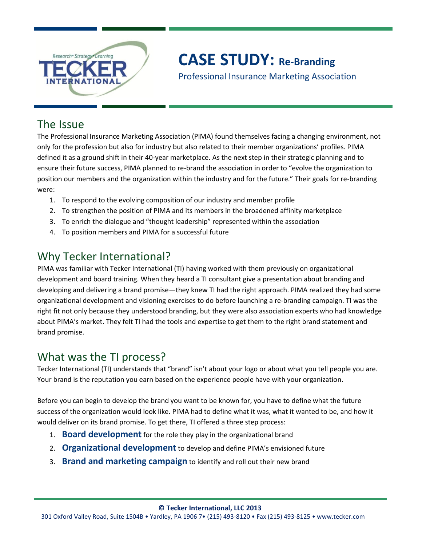

# **CASE STUDY: Re-Branding**

Professional Insurance Marketing Association

### The Issue

The Professional Insurance Marketing Association (PIMA) found themselves facing a changing environment, not only for the profession but also for industry but also related to their member organizations' profiles. PIMA defined it as a ground shift in their 40-year marketplace. As the next step in their strategic planning and to ensure their future success, PIMA planned to re-brand the association in order to "evolve the organization to position our members and the organization within the industry and for the future." Their goals for re-branding were:

- 1. To respond to the evolving composition of our industry and member profile
- 2. To strengthen the position of PIMA and its members in the broadened affinity marketplace
- 3. To enrich the dialogue and "thought leadership" represented within the association
- 4. To position members and PIMA for a successful future

## Why Tecker International?

PIMA was familiar with Tecker International (TI) having worked with them previously on organizational development and board training. When they heard a TI consultant give a presentation about branding and developing and delivering a brand promise—they knew TI had the right approach. PIMA realized they had some organizational development and visioning exercises to do before launching a re-branding campaign. TI was the right fit not only because they understood branding, but they were also association experts who had knowledge about PIMA's market. They felt TI had the tools and expertise to get them to the right brand statement and brand promise.

### What was the TI process?

Tecker International (TI) understands that "brand" isn't about your logo or about what you tell people you are. Your brand is the reputation you earn based on the experience people have with your organization.

Before you can begin to develop the brand you want to be known for, you have to define what the future success of the organization would look like. PIMA had to define what it was, what it wanted to be, and how it would deliver on its brand promise. To get there, TI offered a three step process:

- 1. **Board development** for the role they play in the organizational brand
- 2. **Organizational development** to develop and define PIMA's envisioned future
- 3. **Brand and marketing campaign** to identify and roll out their new brand

**© Tecker International, LLC 2013**